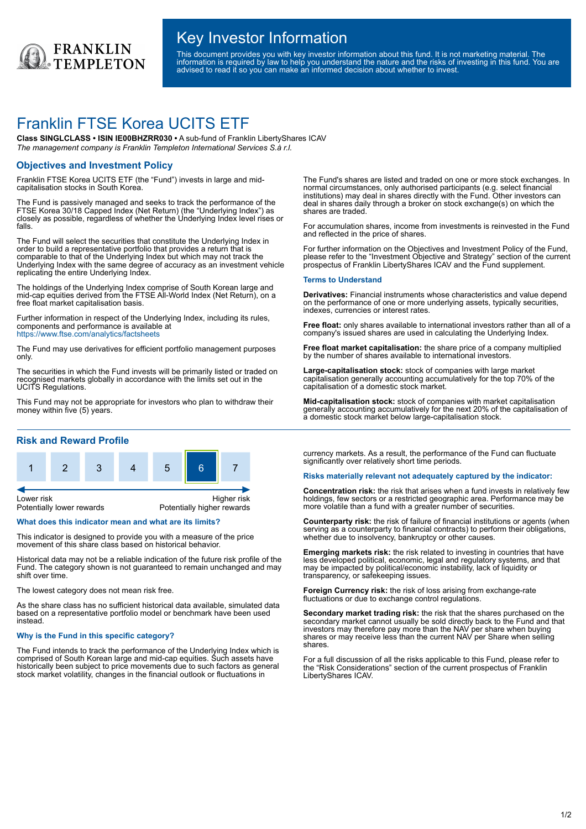

## Key Investor Information

This document provides you with key investor information about this fund. It is not marketing material. The information is required by law to help you understand the nature and the risks of investing in this fund. You are advised to read it so you can make an informed decision about whether to invest.

# Franklin FTSE Korea UCITS ETF

**Class SINGLCLASS • ISIN IE00BHZRR030 •** A sub-fund of Franklin LibertyShares ICAV *The management company is Franklin Templeton International Services S.à r.l.*

## **Objectives and Investment Policy**

Franklin FTSE Korea UCITS ETF (the "Fund") invests in large and midcapitalisation stocks in South Korea.

The Fund is passively managed and seeks to track the performance of the FTSE Korea 30/18 Capped Index (Net Return) (the "Underlying Index") as closely as possible, regardless of whether the Underlying Index level rises or falls.

The Fund will select the securities that constitute the Underlying Index in order to build a representative portfolio that provides a return that is comparable to that of the Underlying Index but which may not track the Underlying Index with the same degree of accuracy as an investment vehicle replicating the entire Underlying Index.

The holdings of the Underlying Index comprise of South Korean large and mid-cap equities derived from the FTSE All-World Index (Net Return), on a free float market capitalisation basis.

Further information in respect of the Underlying Index, including its rules, components and performance is available at https://www.ftse.com/analytics/factsheets

The Fund may use derivatives for efficient portfolio management purposes only.

The securities in which the Fund invests will be primarily listed or traded on recognised markets globally in accordance with the limits set out in the UCITS Regulations.

This Fund may not be appropriate for investors who plan to withdraw their money within five (5) years.

## **Risk and Reward Profile**



### **What does this indicator mean and what are its limits?**

This indicator is designed to provide you with a measure of the price movement of this share class based on historical behavior.

Historical data may not be a reliable indication of the future risk profile of the Fund. The category shown is not guaranteed to remain unchanged and may shift over time.

The lowest category does not mean risk free.

As the share class has no sufficient historical data available, simulated data based on a representative portfolio model or benchmark have been used instead.

#### **Why is the Fund in this specific category?**

The Fund intends to track the performance of the Underlying Index which is comprised of South Korean large and mid-cap equities. Such assets have historically been subject to price movements due to such factors as general stock market volatility, changes in the financial outlook or fluctuations in

The Fund's shares are listed and traded on one or more stock exchanges. In normal circumstances, only authorised participants (e.g. select financial institutions) may deal in shares directly with the Fund. Other investors can deal in shares daily through a broker on stock exchange(s) on which the shares are traded.

For accumulation shares, income from investments is reinvested in the Fund and reflected in the price of shares.

For further information on the Objectives and Investment Policy of the Fund, please refer to the "Investment Objective and Strategy" section of the current prospectus of Franklin LibertyShares ICAV and the Fund supplement.

#### **Terms to Understand**

**Derivatives:** Financial instruments whose characteristics and value depend on the performance of one or more underlying assets, typically securities, indexes, currencies or interest rates.

**Free float:** only shares available to international investors rather than all of a company's issued shares are used in calculating the Underlying Index.

**Free float market capitalisation:** the share price of a company multiplied by the number of shares available to international investors.

**Large-capitalisation stock:** stock of companies with large market capitalisation generally accounting accumulatively for the top 70% of the capitalisation of a domestic stock market.

**Mid-capitalisation stock:** stock of companies with market capitalisation generally accounting accumulatively for the next 20% of the capitalisation of a domestic stock market below large-capitalisation stock.

currency markets. As a result, the performance of the Fund can fluctuate significantly over relatively short time periods.

#### **Risks materially relevant not adequately captured by the indicator:**

**Concentration risk:** the risk that arises when a fund invests in relatively few holdings, few sectors or a restricted geographic area. Performance may be more volatile than a fund with a greater number of securities.

**Counterparty risk:** the risk of failure of financial institutions or agents (when serving as a counterparty to financial contracts) to perform their obligations, whether due to insolvency, bankruptcy or other causes.

**Emerging markets risk:** the risk related to investing in countries that have less developed political, economic, legal and regulatory systems, and that may be impacted by political/economic instability, lack of liquidity or transparency, or safekeeping issues.

**Foreign Currency risk:** the risk of loss arising from exchange-rate fluctuations or due to exchange control regulations.

**Secondary market trading risk:** the risk that the shares purchased on the secondary market cannot usually be sold directly back to the Fund and that investors may therefore pay more than the NAV per share when buying shares or may receive less than the current NAV per Share when selling shares.

For a full discussion of all the risks applicable to this Fund, please refer to the "Risk Considerations" section of the current prospectus of Franklin LibertyShares ICAV.